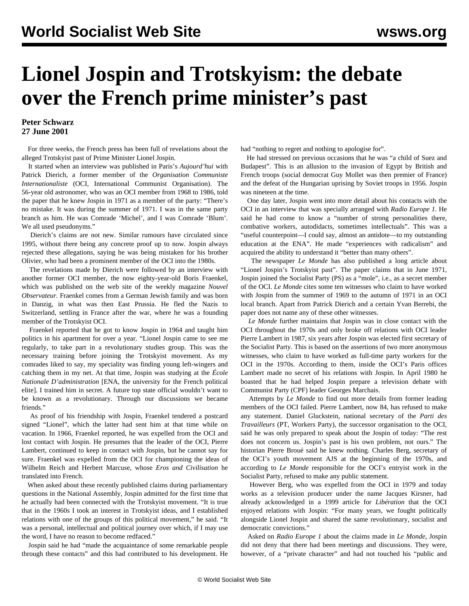## **Lionel Jospin and Trotskyism: the debate over the French prime minister's past**

## **Peter Schwarz 27 June 2001**

 For three weeks, the French press has been full of revelations about the alleged Trotskyist past of Prime Minister Lionel Jospin.

 It started when an interview was published in Paris's *Aujourd'hui* with Patrick Dierich, a former member of the *Organisation Communiste Internationaliste* (OCI, International Communist Organisation). The 56-year old astronomer, who was an OCI member from 1968 to 1986, told the paper that he knew Jospin in 1971 as a member of the party: "There's no mistake. It was during the summer of 1971. I was in the same party branch as him. He was Comrade 'Michel', and I was Comrade 'Blum'. We all used pseudonyms."

 Dierich's claims are not new. Similar rumours have circulated since 1995, without there being any concrete proof up to now. Jospin always rejected these allegations, saying he was being mistaken for his brother Olivier, who had been a prominent member of the OCI into the 1980s.

 The revelations made by Dierich were followed by an interview with another former OCI member, the now eighty-year-old Boris Fraenkel, which was published on the web site of the weekly magazine *Nouvel Observateur.* Fraenkel comes from a German Jewish family and was born in Danzig, in what was then East Prussia. He fled the Nazis to Switzerland, settling in France after the war, where he was a founding member of the Trotskyist OCI.

 Fraenkel reported that he got to know Jospin in 1964 and taught him politics in his apartment for over a year. "Lionel Jospin came to see me regularly, to take part in a revolutionary studies group. This was the necessary training before joining the Trotskyist movement. As my comrades liked to say, my speciality was finding young left-wingers and catching them in my net. At that time, Jospin was studying at the *École Nationale D'administration* [ENA, the university for the French political elite]. I trained him in secret. A future top state official wouldn't want to be known as a revolutionary. Through our discussions we became friends."

 As proof of his friendship with Jospin, Fraenkel tendered a postcard signed "Lionel", which the latter had sent him at that time while on vacation. In 1966, Fraenkel reported, he was expelled from the OCI and lost contact with Jospin. He presumes that the leader of the OCI, Pierre Lambert, continued to keep in contact with Jospin, but he cannot say for sure. Fraenkel was expelled from the OCI for championing the ideas of Wilhelm Reich and Herbert Marcuse, whose *Eros and Civilisation* he translated into French.

 When asked about these recently published claims during parliamentary questions in the National Assembly, Jospin admitted for the first time that he actually had been connected with the Trotskyist movement. "It is true that in the 1960s I took an interest in Trotskyist ideas, and I established relations with one of the groups of this political movement," he said. "It was a personal, intellectual and political journey over which, if I may use the word, I have no reason to become redfaced."

 Jospin said he had "made the acquaintance of some remarkable people through these contacts" and this had contributed to his development. He

had "nothing to regret and nothing to apologise for".

 He had stressed on previous occasions that he was "a child of Suez and Budapest". This is an allusion to the invasion of Egypt by British and French troops (social democrat Guy Mollet was then premier of France) and the defeat of the Hungarian uprising by Soviet troops in 1956. Jospin was nineteen at the time.

 One day later, Jospin went into more detail about his contacts with the OCI in an interview that was specially arranged with *Radio Europe 1*. He said he had come to know a "number of strong personalities there, combative workers, autodidacts, sometimes intellectuals". This was a "useful counterpoint—I could say, almost an antidote—to my outstanding education at the ENA". He made "experiences with radicalism" and acquired the ability to understand it "better than many others".

 The newspaper *Le Monde* has also published a long article about "Lionel Jospin's Trotskyist past". The paper claims that in June 1971, Jospin joined the Socialist Party (PS) as a "mole", i.e., as a secret member of the OCI. *Le Monde* cites some ten witnesses who claim to have worked with Jospin from the summer of 1969 to the autumn of 1971 in an OCI local branch. Apart from Patrick Dierich and a certain Yvan Berrebi, the paper does not name any of these other witnesses.

 *Le Monde* further maintains that Jospin was in close contact with the OCI throughout the 1970s and only broke off relations with OCI leader Pierre Lambert in 1987, six years after Jospin was elected first secretary of the Socialist Party. This is based on the assertions of two more anonymous witnesses, who claim to have worked as full-time party workers for the OCI in the 1970s. According to them, inside the OCI's Paris offices Lambert made no secret of his relations with Jospin. In April 1980 he boasted that he had helped Jospin prepare a television debate with Communist Party (CPF) leader Georges Marchais.

 Attempts by *Le Monde* to find out more details from former leading members of the OCI failed. Pierre Lambert, now 84, has refused to make any statement. Daniel Gluckstein, national secretary of the *Parti des Travailleurs* (PT, Workers Party), the successor organisation to the OCI, said he was only prepared to speak about the Jospin of today: "The rest does not concern us. Jospin's past is his own problem, not ours." The historian Pierre Broué said he knew nothing. Charles Berg, secretary of the OCI's youth movement AJS at the beginning of the 1970s, and according to *Le Monde* responsible for the OCI's entryist work in the Socialist Party, refused to make any public statement.

 However Berg, who was expelled from the OCI in 1979 and today works as a television producer under the name Jacques Kirsner, had already acknowledged in a 1999 article for *Libération* that the OCI enjoyed relations with Jospin: "For many years, we fought politically alongside Lionel Jospin and shared the same revolutionary, socialist and democratic convictions."

 Asked on *Radio Europe 1* about the claims made in *Le Monde*, Jospin did not deny that there had been meetings and discussions. They were, however, of a "private character" and had not touched his "public and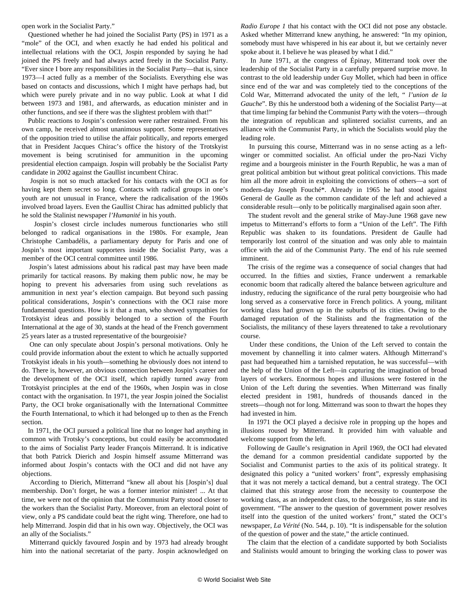open work in the Socialist Party."

 Questioned whether he had joined the Socialist Party (PS) in 1971 as a "mole" of the OCI, and when exactly he had ended his political and intellectual relations with the OCI, Jospin responded by saying he had joined the PS freely and had always acted freely in the Socialist Party. "Ever since I bore any responsibilities in the Socialist Party—that is, since 1973—I acted fully as a member of the Socialists. Everything else was based on contacts and discussions, which I might have perhaps had, but which were purely private and in no way public. Look at what I did between 1973 and 1981, and afterwards, as education minister and in other functions, and see if there was the slightest problem with that!"

 Public reactions to Jospin's confession were rather restrained. From his own camp, he received almost unanimous support. Some representatives of the opposition tried to utilise the affair politically, and reports emerged that in President Jacques Chirac's office the history of the Trotskyist movement is being scrutinised for ammunition in the upcoming presidential election campaign. Jospin will probably be the Socialist Party candidate in 2002 against the Gaullist incumbent Chirac.

 Jospin is not so much attacked for his contacts with the OCI as for having kept them secret so long. Contacts with radical groups in one's youth are not unusual in France, where the radicalisation of the 1960s involved broad layers. Even the Gaullist Chirac has admitted publicly that he sold the Stalinist newspaper *l'Humanité* in his youth.

 Jospin's closest circle includes numerous functionaries who still belonged to radical organisations in the 1980s. For example, Jean Christophe Cambadélis, a parliamentary deputy for Paris and one of Jospin's most important supporters inside the Socialist Party, was a member of the OCI central committee until 1986.

 Jospin's latest admissions about his radical past may have been made primarily for tactical reasons. By making them public now, he may be hoping to prevent his adversaries from using such revelations as ammunition in next year's election campaign. But beyond such passing political considerations, Jospin's connections with the OCI raise more fundamental questions. How is it that a man, who showed sympathies for Trotskyist ideas and possibly belonged to a section of the Fourth International at the age of 30, stands at the head of the French government 25 years later as a trusted representative of the bourgeoisie?

 One can only speculate about Jospin's personal motivations. Only he could provide information about the extent to which he actually supported Trotskyist ideals in his youth—something he obviously does not intend to do. There is, however, an obvious connection between Jospin's career and the development of the OCI itself, which rapidly turned away from Trotskyist principles at the end of the 1960s, when Jospin was in close contact with the organisation. In 1971, the year Jospin joined the Socialist Party, the OCI broke organisationally with the International Committee the Fourth International, to which it had belonged up to then as the French section.

 In 1971, the OCI pursued a political line that no longer had anything in common with Trotsky's conceptions, but could easily be accommodated to the aims of Socialist Party leader François Mitterrand. It is indicative that both Patrick Dierich and Jospin himself assume Mitterrand was informed about Jospin's contacts with the OCI and did not have any objections.

 According to Dierich, Mitterrand "knew all about his [Jospin's] dual membership. Don't forget, he was a former interior minister! ... At that time, we were not of the opinion that the Communist Party stood closer to the workers than the Socialist Party. Moreover, from an electoral point of view, only a PS candidate could beat the right wing. Therefore, one had to help Mitterrand. Jospin did that in his own way. Objectively, the OCI was an ally of the Socialists."

 Mitterrand quickly favoured Jospin and by 1973 had already brought him into the national secretariat of the party. Jospin acknowledged on

*Radio Europe 1* that his contact with the OCI did not pose any obstacle. Asked whether Mitterrand knew anything, he answered: "In my opinion, somebody must have whispered in his ear about it, but we certainly never spoke about it. I believe he was pleased by what I did."

 In June 1971, at the congress of Épinay, Mitterrand took over the leadership of the Socialist Party in a carefully prepared surprise move. In contrast to the old leadership under Guy Mollet, which had been in office since end of the war and was completely tied to the conceptions of the Cold War, Mitterrand advocated the unity of the left, " *l'union de la Gauche*". By this he understood both a widening of the Socialist Party—at that time limping far behind the Communist Party with the voters—through the integration of republican and splintered socialist currents, and an alliance with the Communist Party, in which the Socialists would play the leading role.

 In pursuing this course, Mitterrand was in no sense acting as a leftwinger or committed socialist. An official under the pro-Nazi Vichy regime and a bourgeois minister in the Fourth Republic, he was a man of great political ambition but without great political convictions. This made him all the more adroit in exploiting the convictions of others—a sort of modern-day Joseph Fouché\*. Already in 1965 he had stood against General de Gaulle as the common candidate of the left and achieved a considerable result—only to be politically marginalised again soon after.

 The student revolt and the general strike of May-June 1968 gave new impetus to Mitterrand's efforts to form a "Union of the Left". The Fifth Republic was shaken to its foundations. President de Gaulle had temporarily lost control of the situation and was only able to maintain office with the aid of the Communist Party. The end of his rule seemed imminent.

 The crisis of the regime was a consequence of social changes that had occurred. In the fifties and sixties, France underwent a remarkable economic boom that radically altered the balance between agriculture and industry, reducing the significance of the rural petty bourgeoisie who had long served as a conservative force in French politics. A young, militant working class had grown up in the suburbs of its cities. Owing to the damaged reputation of the Stalinists and the fragmentation of the Socialists, the militancy of these layers threatened to take a revolutionary course.

 Under these conditions, the Union of the Left served to contain the movement by channelling it into calmer waters. Although Mitterrand's past had bequeathed him a tarnished reputation, he was successful—with the help of the Union of the Left—in capturing the imagination of broad layers of workers. Enormous hopes and illusions were fostered in the Union of the Left during the seventies. When Mitterrand was finally elected president in 1981, hundreds of thousands danced in the streets—though not for long. Mitterrand was soon to thwart the hopes they had invested in him.

 In 1971 the OCI played a decisive role in propping up the hopes and illusions roused by Mitterrand. It provided him with valuable and welcome support from the left.

 Following de Gaulle's resignation in April 1969, the OCI had elevated the demand for a common presidential candidate supported by the Socialist and Communist parties to the axis of its political strategy. It designated this policy a "united workers' front", expressly emphasising that it was not merely a tactical demand, but a central strategy. The OCI claimed that this strategy arose from the necessity to counterpose the working class, as an independent class, to the bourgeoisie, its state and its government. "The answer to the question of government power resolves itself into the question of the united workers' front," stated the OCI's newspaper, *La Vérité* (No. 544, p. 10). "It is indispensable for the solution of the question of power and the state," the article continued.

 The claim that the election of a candidate supported by both Socialists and Stalinists would amount to bringing the working class to power was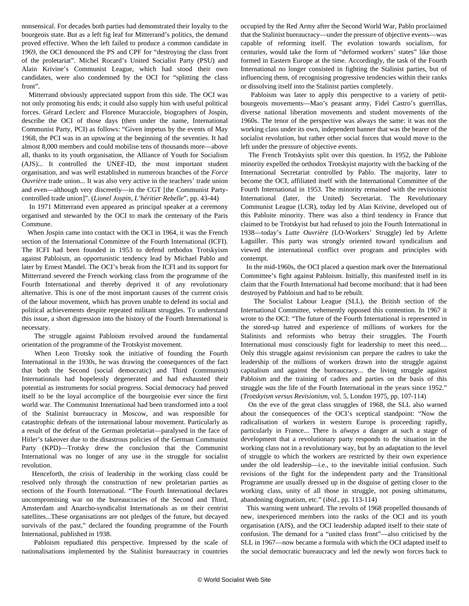nonsensical. For decades both parties had demonstrated their loyalty to the bourgeois state. But as a left fig leaf for Mitterrand's politics, the demand proved effective. When the left failed to produce a common candidate in 1969, the OCI denounced the PS and CPF for "destroying the class front of the proletariat". Michel Rocard's United Socialist Party (PSU) and Alain Krivine's Communist League, which had stood their own candidates, were also condemned by the OCI for "splitting the class front".

 Mitterrand obviously appreciated support from this side. The OCI was not only promoting his ends; it could also supply him with useful political forces. Gérard Leclerc and Florence Muracciole, biographers of Jospin, describe the OCI of those days (then under the name, International Communist Party, PCI) as follows: "Given impetus by the events of May 1968, the PCI was in an upswing at the beginning of the seventies. It had almost 8,000 members and could mobilise tens of thousands more—above all, thanks to its youth organisation, the Alliance of Youth for Socialism (AJS)... It controlled the UNEF-ID, the most important student organisation, and was well established in numerous branches of the *Force Ouvrière* trade union... It was also very active in the teachers' trade union and even—although very discreetly—in the CGT [the Communist Partycontrolled trade union]". (*Lionel Jospin*, *L'héritier Rebelle*", pp. 43-44)

 In 1971 Mitterrand even appeared as principal speaker at a ceremony organised and stewarded by the OCI to mark the centenary of the Paris Commune.

 When Jospin came into contact with the OCI in 1964, it was the French section of the International Committee of the Fourth International (ICFI). The ICFI had been founded in 1953 to defend orthodox Trotskyism against Pabloism, an opportunistic tendency lead by Michael Pablo and later by Ernest Mandel. The OCI's break from the ICFI and its support for Mitterrand severed the French working class from the programme of the Fourth International and thereby deprived it of any revolutionary alternative. This is one of the most important causes of the current crisis of the labour movement, which has proven unable to defend its social and political achievements despite repeated militant struggles. To understand this issue, a short digression into the history of the Fourth International is necessary.

 The struggle against Pabloism revolved around the fundamental orientation of the programme of the Trotskyist movement.

 When Leon Trotsky took the initiative of founding the Fourth International in the 1930s, he was drawing the consequences of the fact that both the Second (social democratic) and Third (communist) Internationals had hopelessly degenerated and had exhausted their potential as instruments for social progress. Social democracy had proved itself to be the loyal accomplice of the bourgeoisie ever since the first world war. The Communist International had been transformed into a tool of the Stalinist bureaucracy in Moscow, and was responsible for catastrophic defeats of the international labour movement. Particularly as a result of the defeat of the German proletariat—paralysed in the face of Hitler's takeover due to the disastrous policies of the German Communist Party (KPD)—Trotsky drew the conclusion that the Communist International was no longer of any use in the struggle for socialist revolution.

 Henceforth, the crisis of leadership in the working class could be resolved only through the construction of new proletarian parties as sections of the Fourth International. "The Fourth International declares uncompromising war on the bureaucracies of the Second and Third, Amsterdam and Anarcho-syndicalist Internationals as on their centrist satellites...These organisations are not pledges of the future, but decayed survivals of the past," declared the founding programme of the Fourth International, published in 1938.

 Pabloism repudiated this perspective. Impressed by the scale of nationalisations implemented by the Stalinist bureaucracy in countries

occupied by the Red Army after the Second World War, Pablo proclaimed that the Stalinist bureaucracy—under the pressure of objective events—was capable of reforming itself. The evolution towards socialism, for centuries, would take the form of "deformed workers' states" like those formed in Eastern Europe at the time. Accordingly, the task of the Fourth International no longer consisted in fighting the Stalinist parties, but of influencing them, of recognising progressive tendencies within their ranks or dissolving itself into the Stalinist parties completely.

 Pabloism was later to apply this perspective to a variety of petitbourgeois movements—Mao's peasant army, Fidel Castro's guerrillas, diverse national liberation movements and student movements of the 1960s. The tenor of the perspective was always the same: it was not the working class under its own, independent banner that was the bearer of the socialist revolution, but rather other social forces that would move to the left under the pressure of objective events.

 The French Trotskyists split over this question. In 1952, the Pabloite minority expelled the orthodox Trotskyist majority with the backing of the International Secretariat controlled by Pablo. The majority, later to become the OCI, affiliated itself with the International Committee of the Fourth International in 1953. The minority remained with the revisionist International (later, the United) Secretariat. The Revolutionary Communist League (LCR), today led by Alan Krivine, developed out of this Pabloite minority. There was also a third tendency in France that claimed to be Trotskyist but had refused to join the Fourth International in 1938—today's *Lutte Ouvrière* (LO-Workers' Struggle) led by Arlette Laguiller. This party was strongly oriented toward syndicalism and viewed the international conflict over program and principles with contempt.

 In the mid-1960s, the OCI placed a question mark over the International Committee's fight against Pabloism. Initially, this manifested itself in its claim that the Fourth International had become moribund: that it had been destroyed by Pabloism and had to be rebuilt.

 The Socialist Labour League (SLL), the British section of the International Committee, vehemently opposed this contention. In 1967 it wrote to the OCI: "The future of the Fourth International is represented in the stored-up hatred and experience of millions of workers for the Stalinists and reformists who betray their struggles. The Fourth International must consciously fight for leadership to meet this need.... Only this struggle against revisionism can prepare the cadres to take the leadership of the millions of workers drawn into the struggle against capitalism and against the bureaucracy... the living struggle against Pabloism and the training of cadres and parties on the basis of this struggle *was* the life of the Fourth International in the years since 1952." (*Trotskyism versus Revisionism*, vol. 5, London 1975, pp. 107-114)

 On the eve of the great class struggles of 1968, the SLL also warned about the consequences of the OCI's sceptical standpoint: "Now the radicalisation of workers in western Europe is proceeding rapidly, particularly in France... There is *always* a danger at such a stage of development that a revolutionary party responds to the situation in the working class not in a revolutionary way, but by an adaptation to the level of struggle to which the workers are restricted by their own experience under the old leadership—i.e., to the inevitable initial confusion. Such revisions of the fight for the independent party and the Transitional Programme are usually dressed up in the disguise of getting closer to the working class, unity of all those in struggle, not posing ultimatums, abandoning dogmatism, etc." (*ibid*., pp. 113-114)

 This warning went unheard. The revolts of 1968 propelled thousands of new, inexperienced members into the ranks of the OCI and its youth organisation (AJS), and the OCI leadership adapted itself to their state of confusion. The demand for a "united class front"—also criticised by the SLL in 1967—now became a formula with which the OCI adapted itself to the social democratic bureaucracy and led the newly won forces back to